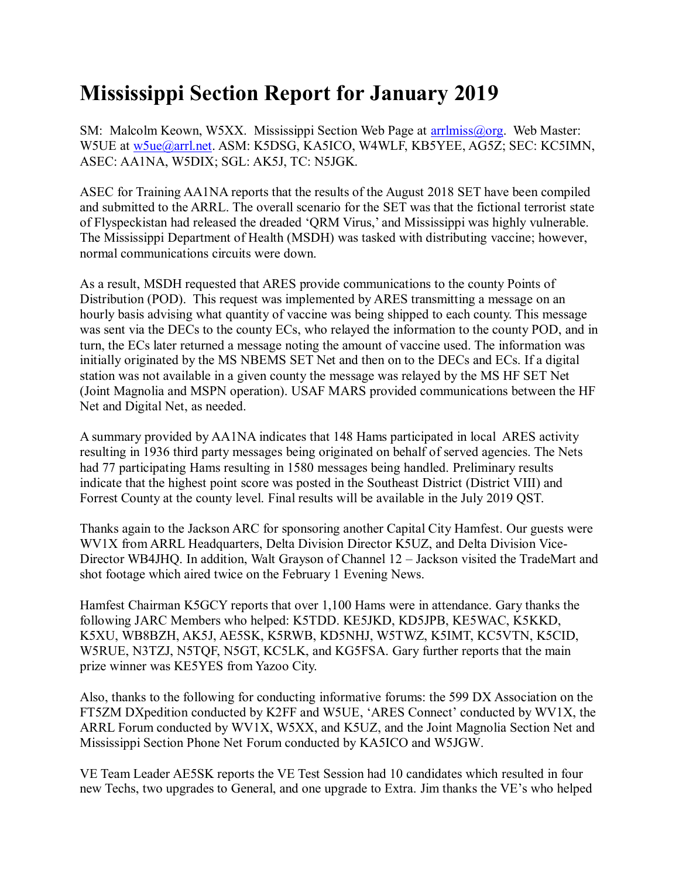## **Mississippi Section Report for January 2019**

SM: Malcolm Keown, W5XX. Mississippi Section Web Page at [arrlmiss@org.](mailto:arrlmiss@org) Web Master: W5UE at w<sub>5ue</sub>@arrl.net. ASM: K5DSG, KA5ICO, W4WLF, KB5YEE, AG5Z; SEC: KC5IMN, ASEC: AA1NA, W5DIX; SGL: AK5J, TC: N5JGK.

ASEC for Training AA1NA reports that the results of the August 2018 SET have been compiled and submitted to the ARRL. The overall scenario for the SET was that the fictional terrorist state of Flyspeckistan had released the dreaded 'QRM Virus,' and Mississippi was highly vulnerable. The Mississippi Department of Health (MSDH) was tasked with distributing vaccine; however, normal communications circuits were down.

As a result, MSDH requested that ARES provide communications to the county Points of Distribution (POD). This request was implemented by ARES transmitting a message on an hourly basis advising what quantity of vaccine was being shipped to each county. This message was sent via the DECs to the county ECs, who relayed the information to the county POD, and in turn, the ECs later returned a message noting the amount of vaccine used. The information was initially originated by the MS NBEMS SET Net and then on to the DECs and ECs. If a digital station was not available in a given county the message was relayed by the MS HF SET Net (Joint Magnolia and MSPN operation). USAF MARS provided communications between the HF Net and Digital Net, as needed.

A summary provided by AA1NA indicates that 148 Hams participated in local ARES activity resulting in 1936 third party messages being originated on behalf of served agencies. The Nets had 77 participating Hams resulting in 1580 messages being handled. Preliminary results indicate that the highest point score was posted in the Southeast District (District VIII) and Forrest County at the county level. Final results will be available in the July 2019 QST.

Thanks again to the Jackson ARC for sponsoring another Capital City Hamfest. Our guests were WV1X from ARRL Headquarters, Delta Division Director K5UZ, and Delta Division Vice-Director WB4JHQ. In addition, Walt Grayson of Channel 12 – Jackson visited the TradeMart and shot footage which aired twice on the February 1 Evening News.

Hamfest Chairman K5GCY reports that over 1,100 Hams were in attendance. Gary thanks the following JARC Members who helped: K5TDD. KE5JKD, KD5JPB, KE5WAC, K5KKD, K5XU, WB8BZH, AK5J, AE5SK, K5RWB, KD5NHJ, W5TWZ, K5IMT, KC5VTN, K5CID, W5RUE, N3TZJ, N5TQF, N5GT, KC5LK, and KG5FSA. Gary further reports that the main prize winner was KE5YES from Yazoo City.

Also, thanks to the following for conducting informative forums: the 599 DX Association on the FT5ZM DXpedition conducted by K2FF and W5UE, 'ARES Connect' conducted by WV1X, the ARRL Forum conducted by WV1X, W5XX, and K5UZ, and the Joint Magnolia Section Net and Mississippi Section Phone Net Forum conducted by KA5ICO and W5JGW.

VE Team Leader AE5SK reports the VE Test Session had 10 candidates which resulted in four new Techs, two upgrades to General, and one upgrade to Extra. Jim thanks the VE's who helped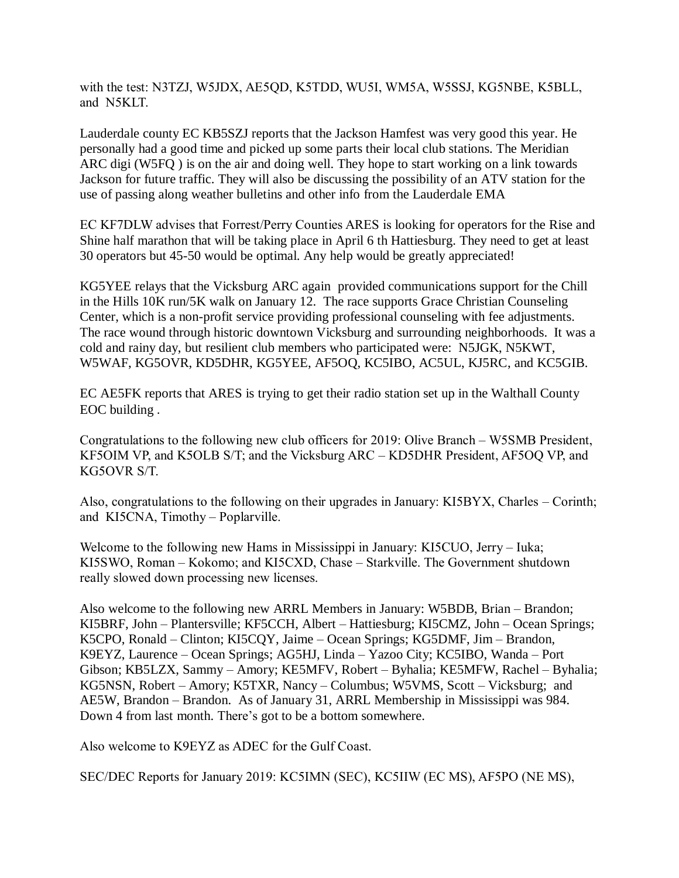with the test: N3TZJ, W5JDX, AE5QD, K5TDD, WU5I, WM5A, W5SSJ, KG5NBE, K5BLL, and N5KLT.

Lauderdale county EC KB5SZJ reports that the Jackson Hamfest was very good this year. He personally had a good time and picked up some parts their local club stations. The Meridian ARC digi (W5FQ ) is on the air and doing well. They hope to start working on a link towards Jackson for future traffic. They will also be discussing the possibility of an ATV station for the use of passing along weather bulletins and other info from the Lauderdale EMA

EC KF7DLW advises that Forrest/Perry Counties ARES is looking for operators for the Rise and Shine half marathon that will be taking place in April 6 th Hattiesburg. They need to get at least 30 operators but 45-50 would be optimal. Any help would be greatly appreciated!

KG5YEE relays that the Vicksburg ARC again provided communications support for the Chill in the Hills 10K run/5K walk on January 12. The race supports Grace Christian Counseling Center, which is a non-profit service providing professional counseling with fee adjustments. The race wound through historic downtown Vicksburg and surrounding neighborhoods. It was a cold and rainy day, but resilient club members who participated were: N5JGK, N5KWT, W5WAF, KG5OVR, KD5DHR, KG5YEE, AF5OQ, KC5IBO, AC5UL, KJ5RC, and KC5GIB.

EC AE5FK reports that ARES is trying to get their radio station set up in the Walthall County EOC building .

Congratulations to the following new club officers for 2019: Olive Branch – W5SMB President, KF5OIM VP, and K5OLB S/T; and the Vicksburg ARC – KD5DHR President, AF5OQ VP, and KG5OVR S/T.

Also, congratulations to the following on their upgrades in January: KI5BYX, Charles – Corinth; and KI5CNA, Timothy – Poplarville.

Welcome to the following new Hams in Mississippi in January: KI5CUO, Jerry – Iuka; KI5SWO, Roman – Kokomo; and KI5CXD, Chase – Starkville. The Government shutdown really slowed down processing new licenses.

Also welcome to the following new ARRL Members in January: W5BDB, Brian – Brandon; KI5BRF, John – Plantersville; KF5CCH, Albert – Hattiesburg; KI5CMZ, John – Ocean Springs; K5CPO, Ronald – Clinton; KI5CQY, Jaime – Ocean Springs; KG5DMF, Jim – Brandon, K9EYZ, Laurence – Ocean Springs; AG5HJ, Linda – Yazoo City; KC5IBO, Wanda – Port Gibson; KB5LZX, Sammy – Amory; KE5MFV, Robert – Byhalia; KE5MFW, Rachel – Byhalia; KG5NSN, Robert – Amory; K5TXR, Nancy – Columbus; W5VMS, Scott – Vicksburg; and AE5W, Brandon – Brandon. As of January 31, ARRL Membership in Mississippi was 984. Down 4 from last month. There's got to be a bottom somewhere.

Also welcome to K9EYZ as ADEC for the Gulf Coast.

SEC/DEC Reports for January 2019: KC5IMN (SEC), KC5IIW (EC MS), AF5PO (NE MS),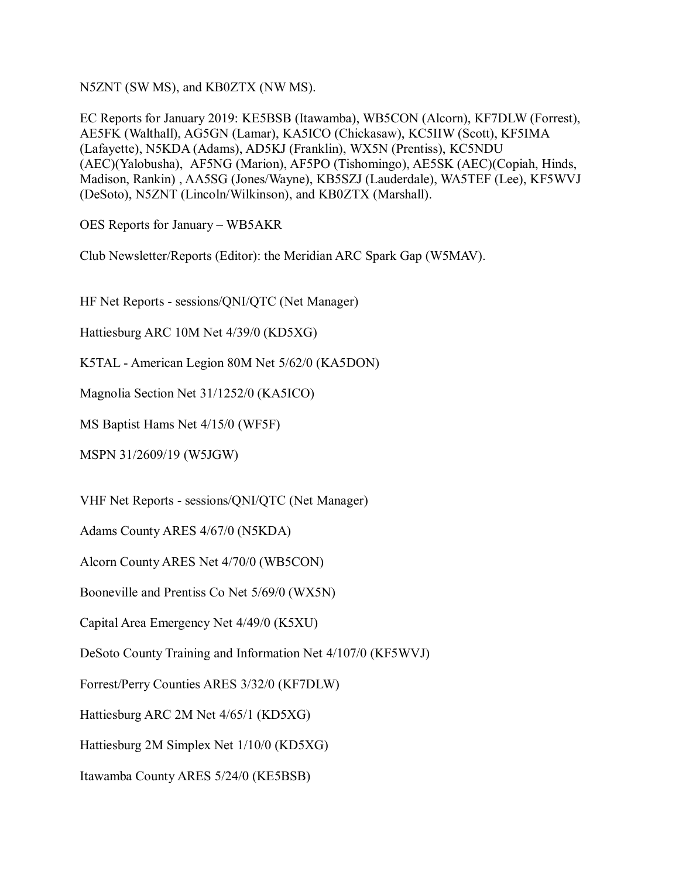N5ZNT (SW MS), and KB0ZTX (NW MS).

EC Reports for January 2019: KE5BSB (Itawamba), WB5CON (Alcorn), KF7DLW (Forrest), AE5FK (Walthall), AG5GN (Lamar), KA5ICO (Chickasaw), KC5IIW (Scott), KF5IMA (Lafayette), N5KDA (Adams), AD5KJ (Franklin), WX5N (Prentiss), KC5NDU (AEC)(Yalobusha), AF5NG (Marion), AF5PO (Tishomingo), AE5SK (AEC)(Copiah, Hinds, Madison, Rankin) , AA5SG (Jones/Wayne), KB5SZJ (Lauderdale), WA5TEF (Lee), KF5WVJ (DeSoto), N5ZNT (Lincoln/Wilkinson), and KB0ZTX (Marshall).

OES Reports for January – WB5AKR

Club Newsletter/Reports (Editor): the Meridian ARC Spark Gap (W5MAV).

HF Net Reports - sessions/QNI/QTC (Net Manager)

Hattiesburg ARC 10M Net 4/39/0 (KD5XG)

K5TAL - American Legion 80M Net 5/62/0 (KA5DON)

Magnolia Section Net 31/1252/0 (KA5ICO)

MS Baptist Hams Net 4/15/0 (WF5F)

MSPN 31/2609/19 (W5JGW)

VHF Net Reports - sessions/QNI/QTC (Net Manager)

Adams County ARES 4/67/0 (N5KDA)

Alcorn County ARES Net 4/70/0 (WB5CON)

Booneville and Prentiss Co Net 5/69/0 (WX5N)

Capital Area Emergency Net 4/49/0 (K5XU)

DeSoto County Training and Information Net 4/107/0 (KF5WVJ)

Forrest/Perry Counties ARES 3/32/0 (KF7DLW)

Hattiesburg ARC 2M Net 4/65/1 (KD5XG)

Hattiesburg 2M Simplex Net 1/10/0 (KD5XG)

Itawamba County ARES 5/24/0 (KE5BSB)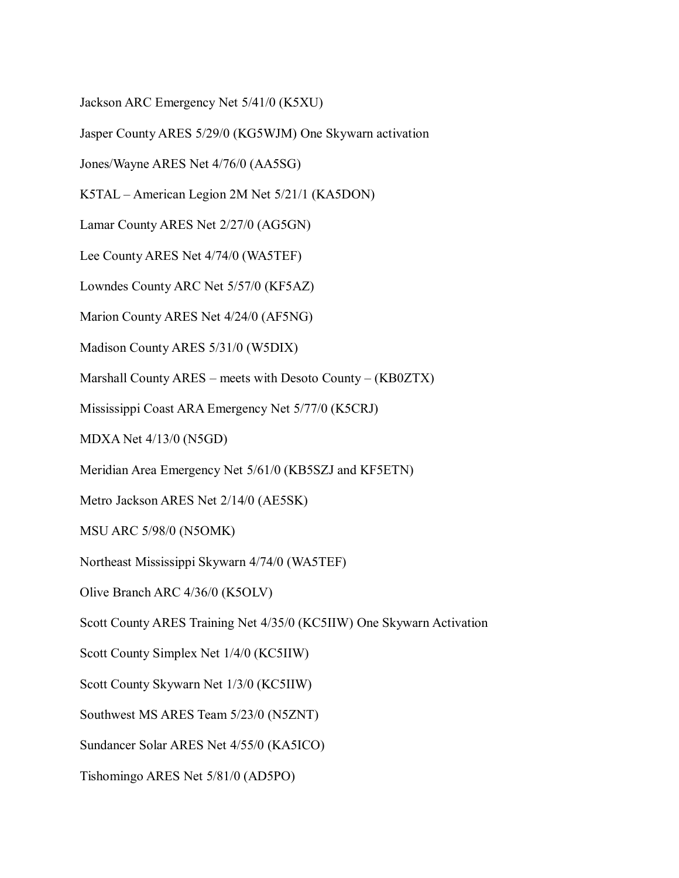Jackson ARC Emergency Net 5/41/0 (K5XU)

Jasper County ARES 5/29/0 (KG5WJM) One Skywarn activation

Jones/Wayne ARES Net 4/76/0 (AA5SG)

K5TAL – American Legion 2M Net 5/21/1 (KA5DON)

Lamar County ARES Net 2/27/0 (AG5GN)

Lee County ARES Net 4/74/0 (WA5TEF)

Lowndes County ARC Net 5/57/0 (KF5AZ)

Marion County ARES Net 4/24/0 (AF5NG)

Madison County ARES 5/31/0 (W5DIX)

Marshall County ARES – meets with Desoto County – (KB0ZTX)

Mississippi Coast ARA Emergency Net 5/77/0 (K5CRJ)

MDXA Net 4/13/0 (N5GD)

Meridian Area Emergency Net 5/61/0 (KB5SZJ and KF5ETN)

Metro Jackson ARES Net 2/14/0 (AE5SK)

MSU ARC 5/98/0 (N5OMK)

Northeast Mississippi Skywarn 4/74/0 (WA5TEF)

Olive Branch ARC 4/36/0 (K5OLV)

Scott County ARES Training Net 4/35/0 (KC5IIW) One Skywarn Activation

Scott County Simplex Net 1/4/0 (KC5IIW)

Scott County Skywarn Net 1/3/0 (KC5IIW)

Southwest MS ARES Team 5/23/0 (N5ZNT)

Sundancer Solar ARES Net 4/55/0 (KA5ICO)

Tishomingo ARES Net 5/81/0 (AD5PO)